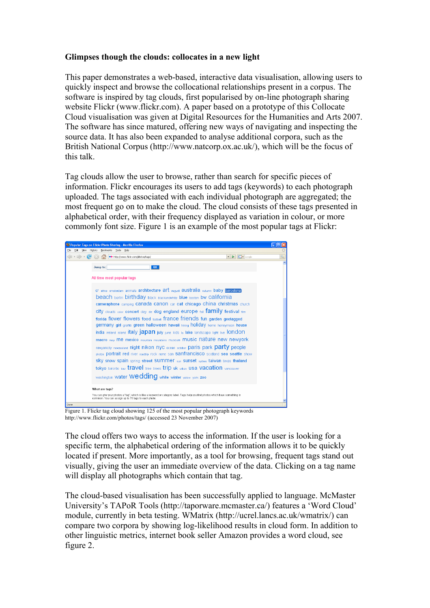## **Glimpses though the clouds: collocates in a new light**

This paper demonstrates a web-based, interactive data visualisation, allowing users to quickly inspect and browse the collocational relationships present in a corpus. The software is inspired by tag clouds, first popularised by on-line photograph sharing website Flickr (www.flickr.com). A paper based on a prototype of this Collocate Cloud visualisation was given at Digital Resources for the Humanities and Arts 2007. The software has since matured, offering new ways of navigating and inspecting the source data. It has also been expanded to analyse additional corpora, such as the British National Corpus (http://www.natcorp.ox.ac.uk/), which will be the focus of this talk.

Tag clouds allow the user to browse, rather than search for specific pieces of information. Flickr encourages its users to add tags (keywords) to each photograph uploaded. The tags associated with each individual photograph are aggregated; the most frequent go on to make the cloud. The cloud consists of these tags presented in alphabetical order, with their frequency displayed as variation in colour, or more commonly font size. Figure 1 is an example of the most popular tags at Flickr:



Figure 1. Flickr tag cloud showing 125 of the most popular photograph keywords http://www.flickr.com/photos/tags/ (accessed 23 November 2007)

The cloud offers two ways to access the information. If the user is looking for a specific term, the alphabetical ordering of the information allows it to be quickly located if present. More importantly, as a tool for browsing, frequent tags stand out visually, giving the user an immediate overview of the data. Clicking on a tag name will display all photographs which contain that tag.

The cloud-based visualisation has been successfully applied to language. McMaster University's TAPoR Tools (http://taporware.mcmaster.ca/) features a 'Word Cloud' module, currently in beta testing. WMatrix (http://ucrel.lancs.ac.uk/wmatrix/) can compare two corpora by showing log-likelihood results in cloud form. In addition to other linguistic metrics, internet book seller Amazon provides a word cloud, see figure 2.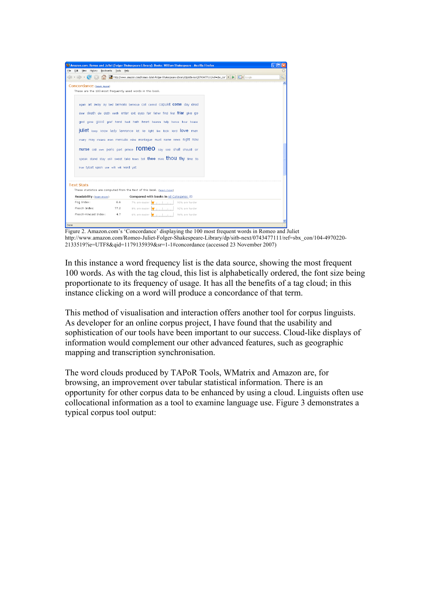|                                                                    | <sup>3</sup> Amazon.com: Romeo and Juliet (Folger Shakespeare Library): Books: William Shakespeare - Mozilla Firefox                                                                                                                                                                                                                                                                                                                                                                                                                                                                                  |    |
|--------------------------------------------------------------------|-------------------------------------------------------------------------------------------------------------------------------------------------------------------------------------------------------------------------------------------------------------------------------------------------------------------------------------------------------------------------------------------------------------------------------------------------------------------------------------------------------------------------------------------------------------------------------------------------------|----|
| Edit View History                                                  | Bookmarks Tools Help                                                                                                                                                                                                                                                                                                                                                                                                                                                                                                                                                                                  |    |
|                                                                    | <b>G</b> Google<br>En http://www.amazon.com/Romeo-Juliet-Folger-Shakespeare-Library/dp/sitb-next/0743477111/ref=sbx_cor   v   2                                                                                                                                                                                                                                                                                                                                                                                                                                                                       | ą, |
| Concordance (learn more)<br>true tybalt upon use wilt wit word yet | These are the 100 most frequently used words in this book.<br>again art away ay bed benvolio benvouo call cannot capulet come day dead<br>dear death die doth earth enter exit eyes fair father find first frial give go<br>god gone GOOD grief hand hast hath heart heaven help hence hour house<br>juliet keep know lady lawrence let lie light live look lord love man<br>many may means men mercutio mine montaque must name news night now<br>nurse old own paris part prince <b>FOMEO</b> say see shall should sir<br>speak stand stay still sweet take tears tell thee think thou thy time tis |    |
|                                                                    |                                                                                                                                                                                                                                                                                                                                                                                                                                                                                                                                                                                                       |    |
| <b>Text Stats</b>                                                  |                                                                                                                                                                                                                                                                                                                                                                                                                                                                                                                                                                                                       |    |
| Readability (learn more)                                           | These statistics are computed from the text of this book. (learn more)<br>Compared with books in All Categories @                                                                                                                                                                                                                                                                                                                                                                                                                                                                                     |    |
| Fog Index:                                                         | 6.6<br>93% are harder                                                                                                                                                                                                                                                                                                                                                                                                                                                                                                                                                                                 |    |
| Flesch Index:                                                      | 7% are easier village contained<br>77.2<br>92% are harder                                                                                                                                                                                                                                                                                                                                                                                                                                                                                                                                             |    |
| Flesch-Kincaid Index:                                              | 8% are easier village and the line<br>4.7<br>6% are easier<br>94% are harder<br>Maturaturation                                                                                                                                                                                                                                                                                                                                                                                                                                                                                                        |    |

Figure 2. Amazon.com's 'Concordance' displaying the 100 most frequent words in Romeo and Juliet http://www.amazon.com/Romeo-Juliet-Folger-Shakespeare-Library/dp/sitb-next/0743477111/ref=sbx\_con/104-4970220- 2133519?ie=UTF8&qid=1179135939&sr=1-1#concordance (accessed 23 November 2007)

In this instance a word frequency list is the data source, showing the most frequent 100 words. As with the tag cloud, this list is alphabetically ordered, the font size being proportionate to its frequency of usage. It has all the benefits of a tag cloud; in this instance clicking on a word will produce a concordance of that term.

This method of visualisation and interaction offers another tool for corpus linguists. As developer for an online corpus project, I have found that the usability and sophistication of our tools have been important to our success. Cloud-like displays of information would complement our other advanced features, such as geographic mapping and transcription synchronisation.

The word clouds produced by TAPoR Tools, WMatrix and Amazon are, for browsing, an improvement over tabular statistical information. There is an opportunity for other corpus data to be enhanced by using a cloud. Linguists often use collocational information as a tool to examine language use. Figure 3 demonstrates a typical corpus tool output: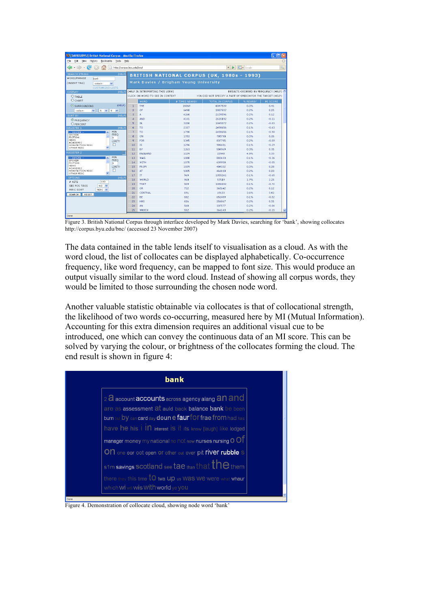| $\blacksquare$ $\blacksquare$ $\blacksquare$ $\times$<br>C [DAVIES/BYU] British National Corpus - Mozilla Firefox |                                           |                                                                                               |                |                                                   |          |                         |  |  |  |
|-------------------------------------------------------------------------------------------------------------------|-------------------------------------------|-----------------------------------------------------------------------------------------------|----------------|---------------------------------------------------|----------|-------------------------|--|--|--|
| File<br>Edit<br><b>View</b><br>History<br><b>Bookmarks</b><br>Tools<br>Help                                       |                                           |                                                                                               |                |                                                   |          |                         |  |  |  |
| $\sim$<br>http://corpus.bvu.edu/bnc/<br>$\scriptstyle\rm w$                                                       | <b>G</b> Google<br>Q<br>⋗<br>$\mathbf{v}$ |                                                                                               |                |                                                   |          |                         |  |  |  |
| (HELP)<br><b>SEARCH STRING</b><br>WORD/PHRASE<br>hank                                                             |                                           |                                                                                               |                | <b>BRITISH NATIONAL CORPUS (UK, 1980s - 1993)</b> |          |                         |  |  |  |
| (INSERT TAG)<br>$\checkmark$<br>-select-<br><b>CUSTOMIZED LISTS</b>                                               | Mark Davies / Brigham Young University    |                                                                                               |                |                                                   |          |                         |  |  |  |
| DISPLAY<br>(HELP)                                                                                                 |                                           | (HELP IN INTERPRETING THIS VIEW)                                                              |                | RESULTS ORDERED BY FREQUENCY (HELP)               |          |                         |  |  |  |
| <b>OTABLE</b>                                                                                                     |                                           | CLICK ON WORD TO SEE IN CONTEXT<br>YOU DID NOT SPECIFY A PART OF SPEECH FOR THE TARGET (HELP) |                |                                                   |          |                         |  |  |  |
| <b>O</b> CHART                                                                                                    |                                           | <b>WORD</b>                                                                                   | # TIMES NEARBY | <b>TOTAL IN CORPUS</b>                            | % NEARBY | MI SCORE                |  |  |  |
| (HELP)<br>SURROUNDING                                                                                             | 1                                         | THE                                                                                           | 16069          | 6047539                                           | 0.3%     | 0.41                    |  |  |  |
| $\checkmark$<br>$\checkmark$<br>5<br>$\checkmark$<br>-select-<br>$\sqrt{5}$                                       | $\overline{c}$                            | OF                                                                                            | 6498           | 2887937                                           | 0.2%     | 0.25                    |  |  |  |
| <b>SORT BY</b><br>(HFLP)                                                                                          | 3                                         | А                                                                                             | 4260           | 2139596                                           | 0.2%     | 0.12                    |  |  |  |
| <b>O</b> FREQUENCY                                                                                                | 4                                         | AND                                                                                           | 4131           | 2615192                                           | 0.2%     | $-0.11$                 |  |  |  |
| OPERCENT                                                                                                          | 5                                         | IN                                                                                            | 3150           | 1845077                                           | 0.2%     | $-0.03$                 |  |  |  |
| (HELP)<br><b>REGISTER 1</b>                                                                                       | 6                                         | TO <sub>1</sub>                                                                               | 2337           | 2498656                                           | 0.1%     | $-0.63$                 |  |  |  |
| MIN<br>$-$ IGNORE $-$<br>$\lambda$                                                                                | 7                                         | TO                                                                                            | 1790           | 2498656                                           | 0.1%     | $-0.90$                 |  |  |  |
| FREO<br>SPOKEN<br><b>FICTION</b><br>ls.                                                                           | 8                                         | ON                                                                                            | 1783           | 705790                                            | 0.3%     | 0.36                    |  |  |  |
| <b>NEWS</b><br>LIMIT?                                                                                             | 9                                         | <b>FOR</b>                                                                                    | 1345           | 837795                                            | 0.2%     | $-0.09$                 |  |  |  |
| ACADEMIC<br>П<br>NON-FICTION MISC                                                                                 | 10                                        | <b>IS</b>                                                                                     | 1296           | 986681                                            | 0.1%     | $-0.29$                 |  |  |  |
| $\checkmark$<br>OTHER MISC                                                                                        | 11                                        | BY                                                                                            | 1263           | 504969                                            | 0.3%     | 0.35                    |  |  |  |
| <b>REGISTER 2</b>                                                                                                 | 12                                        | <b>ENGLAND</b>                                                                                | 1129           | 22940                                             | 4.9%     | 3.33                    |  |  |  |
| MIN<br>$-$ IGNORE $-$                                                                                             | 13                                        | WAS                                                                                           | 1080           | 883633                                            | 0.1%     | $-0.36$                 |  |  |  |
| FREO<br>SPOKEN<br><b>FICTION</b><br>×                                                                             | 14                                        | WITH                                                                                          | 1075           | 639958                                            | 0.2%     | $-0.05$                 |  |  |  |
| <b>NEWS</b><br>LIMIT?<br>ACADEMIC                                                                                 | 15                                        | <b>FROM</b>                                                                                   | 1039           | 404332                                            | 0.3%     | 0.38                    |  |  |  |
| NON-FICTION MISC                                                                                                  | 16                                        | AT                                                                                            | 1005           | 466110                                            | 0.2%     | 0.20                    |  |  |  |
| $\checkmark$<br>OTHER MISC                                                                                        | 17                                        | IT                                                                                            | 969            | 1055241                                           | 0.1%     | $-0.65$                 |  |  |  |
| (HELP)<br>OPTIONS                                                                                                 | 18                                        | <b>WORLD</b>                                                                                  | 960            | 57519                                             | 1.7%     | 2.25                    |  |  |  |
| $#$ HITS<br>100<br>SEE POS TAGS<br>NO.<br>$\checkmark$                                                            | 19                                        | THAT                                                                                          | 929            | 1086692                                           | 0.1%     | $-0.72$                 |  |  |  |
| PERC SORT<br>PERC Y                                                                                               | 20                                        | OR.                                                                                           | 722            | 365142                                            | 0.2%     | 0.12                    |  |  |  |
| SEARCH<br>RESET                                                                                                   | 21                                        | CENTRAL                                                                                       | 691            | 19133                                             | 3.6%     | 3.02                    |  |  |  |
|                                                                                                                   | 22                                        | BE                                                                                            | 682            | 651489                                            | 0.1%     | $-0.52$                 |  |  |  |
|                                                                                                                   | 23                                        | HAS                                                                                           | 616            | 256867                                            | 0.2%     | 0.31                    |  |  |  |
|                                                                                                                   | 24                                        | AN                                                                                            | 568            | 337577                                            | 0.2%     | $-0.04$                 |  |  |  |
|                                                                                                                   | 25                                        | WHICH                                                                                         | 552            | 366143                                            | 0.2%     | $\checkmark$<br>$-0.15$ |  |  |  |
| Done                                                                                                              |                                           |                                                                                               |                |                                                   |          |                         |  |  |  |

Figure 3. British National Corpus through interface developed by Mark Davies, searching for 'bank', showing collocates http://corpus.byu.edu/bnc/ (accessed 23 November 2007)

The data contained in the table lends itself to visualisation as a cloud. As with the word cloud, the list of collocates can be displayed alphabetically. Co-occurrence frequency, like word frequency, can be mapped to font size. This would produce an output visually similar to the word cloud. Instead of showing all corpus words, they would be limited to those surrounding the chosen node word.

Another valuable statistic obtainable via collocates is that of collocational strength, the likelihood of two words co-occurring, measured here by MI (Mutual Information). Accounting for this extra dimension requires an additional visual cue to be introduced, one which can convey the continuous data of an MI score. This can be solved by varying the colour, or brightness of the collocates forming the cloud. The end result is shown in figure 4:



Figure 4. Demonstration of collocate cloud, showing node word 'bank'